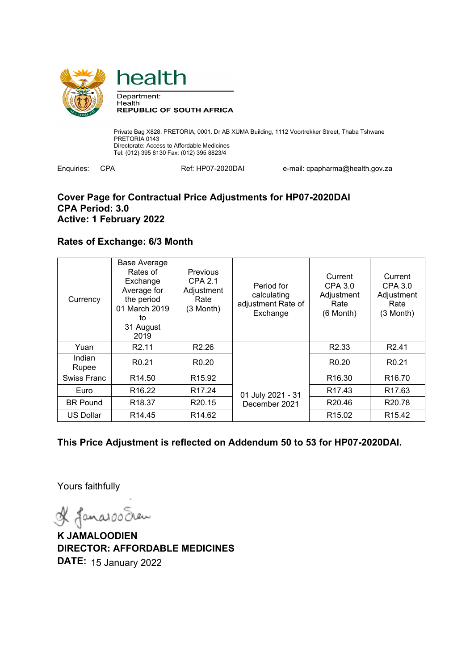



Enquiries: CPA Ref: HP07-2020DAI e-mail: cpapharma@health.gov.za

## **Cover Page for Contractual Price Adjustments for HP07-2020DAI CPA Period: 3.0 Active: 1 February 2022**

## **Rates of Exchange: 6/3 Month**

| Currency         | <b>Base Average</b><br>Rates of<br>Exchange<br>Average for<br>the period<br>01 March 2019<br>to<br>31 August<br>2019 | Previous<br><b>CPA 2.1</b><br>Adjustment<br>Rate<br>(3 Month) | Period for<br>calculating<br>adjustment Rate of<br>Exchange | Current<br>CPA 3.0<br>Adjustment<br>Rate<br>$(6$ Month $)$ | Current<br>CPA 3.0<br>Adjustment<br>Rate<br>(3 Month) |
|------------------|----------------------------------------------------------------------------------------------------------------------|---------------------------------------------------------------|-------------------------------------------------------------|------------------------------------------------------------|-------------------------------------------------------|
| Yuan             | R <sub>2.11</sub>                                                                                                    | R <sub>2.26</sub>                                             |                                                             | R <sub>2.33</sub>                                          | R <sub>2.41</sub>                                     |
| Indian<br>Rupee  | R <sub>0.21</sub>                                                                                                    | R <sub>0.20</sub>                                             | 01 July 2021 - 31                                           | R <sub>0.20</sub>                                          | R <sub>0.21</sub>                                     |
| Swiss Franc      | R <sub>14.50</sub>                                                                                                   | R <sub>15.92</sub>                                            |                                                             | R <sub>16.30</sub>                                         | R <sub>16.70</sub>                                    |
| Euro             | R <sub>16.22</sub>                                                                                                   | R <sub>17.24</sub>                                            |                                                             | R <sub>17.43</sub>                                         | R <sub>17.63</sub>                                    |
| <b>BR Pound</b>  | R <sub>18.37</sub>                                                                                                   | R <sub>20.15</sub>                                            | December 2021                                               | R <sub>20.46</sub>                                         | R <sub>20.78</sub>                                    |
| <b>US Dollar</b> | R <sub>14.45</sub>                                                                                                   | R <sub>14.62</sub>                                            |                                                             | R <sub>15.02</sub>                                         | R <sub>15.42</sub>                                    |

**This Price Adjustment is reflected on Addendum 50 to 53 for HP07-2020DAI.** 

Yours faithfully

& Janaroo Sean

**K JAMALOODIEN DIRECTOR: AFFORDABLE MEDICINES DATE:** 15 January 2022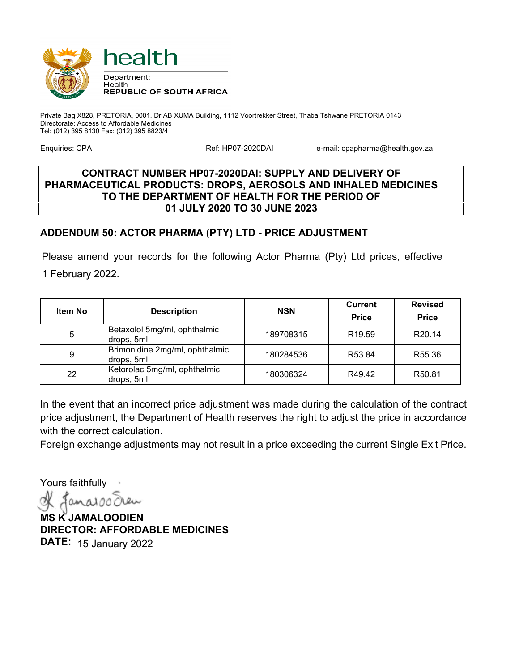

Enquiries: CPA **Ref: HP07-2020DAI** e-mail: cpapharma@health.gov.za

## **CONTRACT NUMBER HP07-2020DAI: SUPPLY AND DELIVERY OF PHARMACEUTICAL PRODUCTS: DROPS, AEROSOLS AND INHALED MEDICINES TO THE DEPARTMENT OF HEALTH FOR THE PERIOD OF 01 JULY 2020 TO 30 JUNE 2023**

# **ADDENDUM 50: ACTOR PHARMA (PTY) LTD - PRICE ADJUSTMENT**

Please amend your records for the following Actor Pharma (Pty) Ltd prices, effective 1 February 2022.

| <b>Item No</b> | <b>Description</b>                           | <b>NSN</b> | <b>Current</b><br><b>Price</b> | <b>Revised</b><br><b>Price</b> |
|----------------|----------------------------------------------|------------|--------------------------------|--------------------------------|
| 5              | Betaxolol 5mg/ml, ophthalmic<br>drops, 5ml   | 189708315  | R <sub>19.59</sub>             | R <sub>20.14</sub>             |
| 9              | Brimonidine 2mg/ml, ophthalmic<br>drops, 5ml | 180284536  | R <sub>53.84</sub>             | R <sub>55.36</sub>             |
| 22             | Ketorolac 5mg/ml, ophthalmic<br>drops, 5ml   | 180306324  | R49.42                         | R50.81                         |

In the event that an incorrect price adjustment was made during the calculation of the contract price adjustment, the Department of Health reserves the right to adjust the price in accordance with the correct calculation.

Foreign exchange adjustments may not result in a price exceeding the current Single Exit Price.

Yours faithfully

 $0<sub>M</sub>$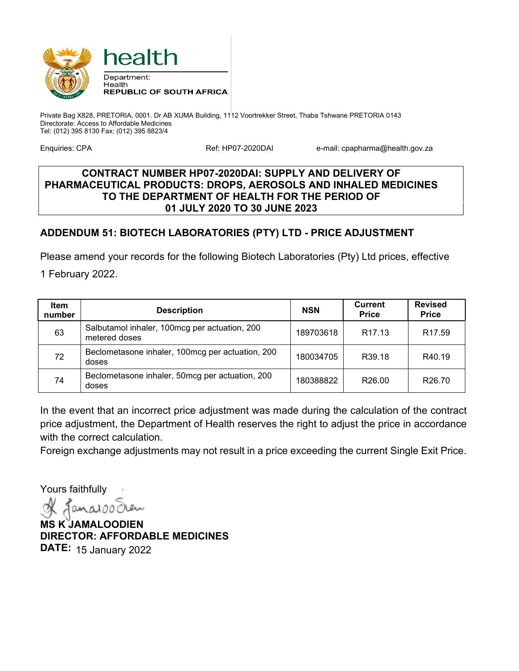

Enquiries: CPA **Ref: HP07-2020DAI** e-mail: cpapharma@health.gov.za

## **CONTRACT NUMBER HP07-2020DAI: SUPPLY AND DELIVERY OF PHARMACEUTICAL PRODUCTS: DROPS, AEROSOLS AND INHALED MEDICINES TO THE DEPARTMENT OF HEALTH FOR THE PERIOD OF 01 JULY 2020 TO 30 JUNE 2023**

# **ADDENDUM 51: BIOTECH LABORATORIES (PTY) LTD - PRICE ADJUSTMENT**

Please amend your records for the following Biotech Laboratories (Pty) Ltd prices, effective

1 February 2022.

| <b>Item</b><br>number | <b>Description</b>                                             | <b>NSN</b> | <b>Current</b><br><b>Price</b> | <b>Revised</b><br><b>Price</b> |
|-----------------------|----------------------------------------------------------------|------------|--------------------------------|--------------------------------|
| 63                    | Salbutamol inhaler, 100mcg per actuation, 200<br>metered doses | 189703618  | R <sub>17.13</sub>             | R <sub>17.59</sub>             |
| 72                    | Beclometasone inhaler, 100mcg per actuation, 200<br>doses      | 180034705  | R39.18                         | R40.19                         |
| 74                    | Beclometasone inhaler, 50mcg per actuation, 200<br>doses       | 180388822  | R <sub>26.00</sub>             | R <sub>26.70</sub>             |

In the event that an incorrect price adjustment was made during the calculation of the contract price adjustment, the Department of Health reserves the right to adjust the price in accordance with the correct calculation.

Foreign exchange adjustments may not result in a price exceeding the current Single Exit Price.

Yours faithfully

 $andOC$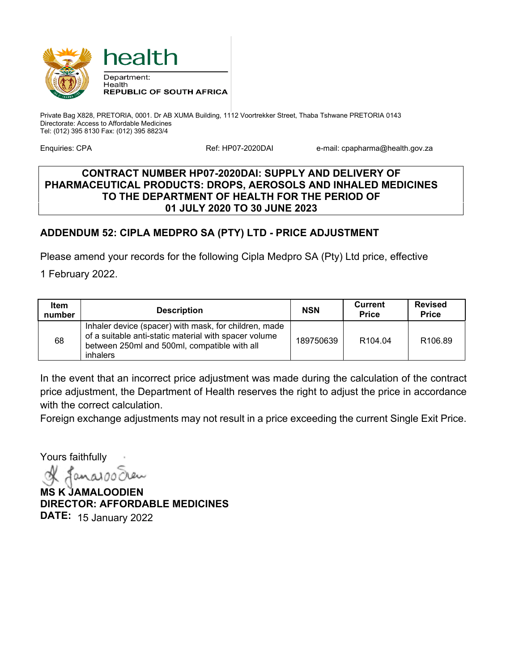

Enquiries: CPA **Ref: HP07-2020DAI** e-mail: cpapharma@health.gov.za

## **CONTRACT NUMBER HP07-2020DAI: SUPPLY AND DELIVERY OF PHARMACEUTICAL PRODUCTS: DROPS, AEROSOLS AND INHALED MEDICINES TO THE DEPARTMENT OF HEALTH FOR THE PERIOD OF 01 JULY 2020 TO 30 JUNE 2023**

# **ADDENDUM 52: CIPLA MEDPRO SA (PTY) LTD - PRICE ADJUSTMENT**

Please amend your records for the following Cipla Medpro SA (Pty) Ltd price, effective

1 February 2022.

| <b>Item</b><br>number | <b>Description</b>                                                                                                                                                                | <b>NSN</b> | Current<br><b>Price</b> | <b>Revised</b><br><b>Price</b> |
|-----------------------|-----------------------------------------------------------------------------------------------------------------------------------------------------------------------------------|------------|-------------------------|--------------------------------|
| 68                    | Inhaler device (spacer) with mask, for children, made<br>of a suitable anti-static material with spacer volume<br>between 250ml and 500ml, compatible with all<br><i>inhalers</i> | 189750639  | R <sub>104.04</sub>     | R <sub>106.89</sub>            |

In the event that an incorrect price adjustment was made during the calculation of the contract price adjustment, the Department of Health reserves the right to adjust the price in accordance with the correct calculation.

Foreign exchange adjustments may not result in a price exceeding the current Single Exit Price.

Yours faithfully

 $0.000$